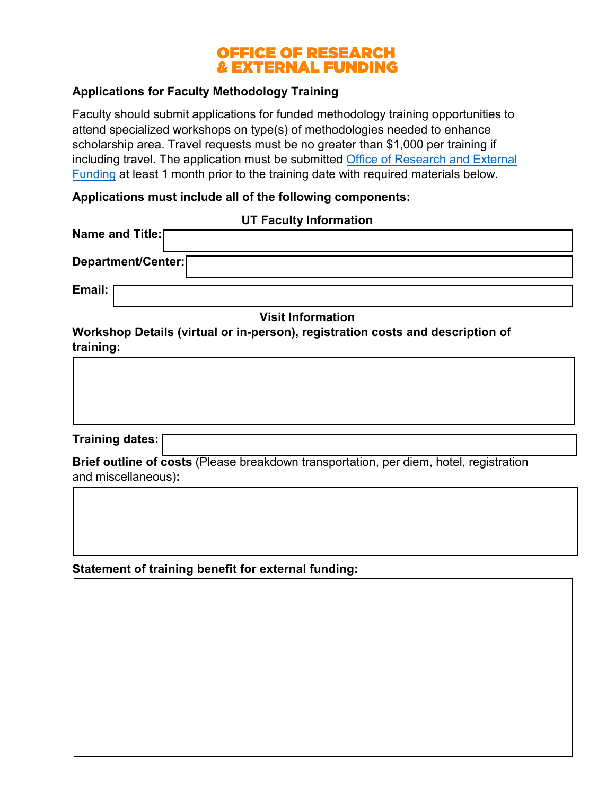# **OFFICE OF RESEARCH & EXTERNAL FUNDING**

### **Applications for Faculty Methodology Training**

Faculty should submit applications for funded methodology training opportunities to attend specialized workshops on type(s) of methodologies needed to enhance scholarship area. Travel requests must be no greater than \$1,000 per training if including travel. The application must be submitted [Office of Research and External](mailto:cehhsresearch@utk.edu) [Funding](mailto:cehhsresearch@utk.edu) at least 1 month prior to the training date with required materials below.

#### **Applications must include all of the following components:**

|                        | <b>UT Faculty Information</b>                                                                 |
|------------------------|-----------------------------------------------------------------------------------------------|
| Name and Title:[       |                                                                                               |
| Department/Center:     |                                                                                               |
| Email:                 |                                                                                               |
|                        | <b>Visit Information</b>                                                                      |
| training:              | Workshop Details (virtual or in-person), registration costs and description of                |
| <b>Training dates:</b> |                                                                                               |
| and miccollanoque)     | <b>Brief outline of costs (Please breakdown transportation, per diem, hotel, registration</b> |



**Statement of training benefit for external funding:**